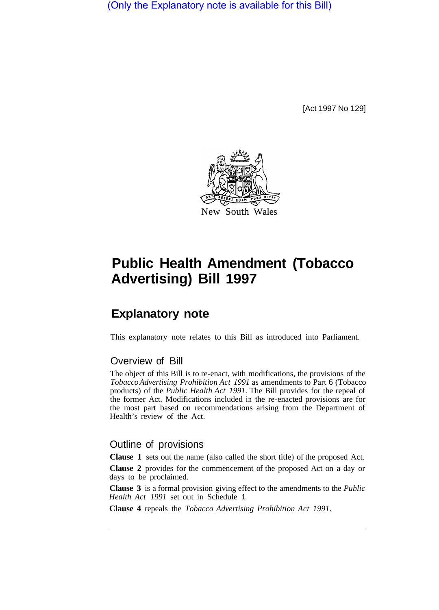(Only the Explanatory note is available for this Bill)

[Act 1997 No 129]



# **Public Health Amendment (Tobacco Advertising) Bill 1997**

# **Explanatory note**

This explanatory note relates to this Bill as introduced into Parliament.

## Overview of Bill

The object of this Bill is to re-enact, with modifications, the provisions of the *Tobacco Advertising Prohibition Act 1991* as amendments to Part 6 (Tobacco products) of the *Public Health Act 1991.* The Bill provides for the repeal of the former Act. Modifications included in the re-enacted provisions are for the most part based on recommendations arising from the Department of Health's review of the Act.

### Outline of provisions

**Clause 1** sets out the name (also called the short title) of the proposed Act.

**Clause 2** provides for the commencement of the proposed Act on a day or days to be proclaimed.

**Clause 3** is a formal provision giving effect to the amendments to the *Public Health Act 1991* set out in Schedule 1.

**Clause 4** repeals the *Tobacco Advertising Prohibition Act 1991.*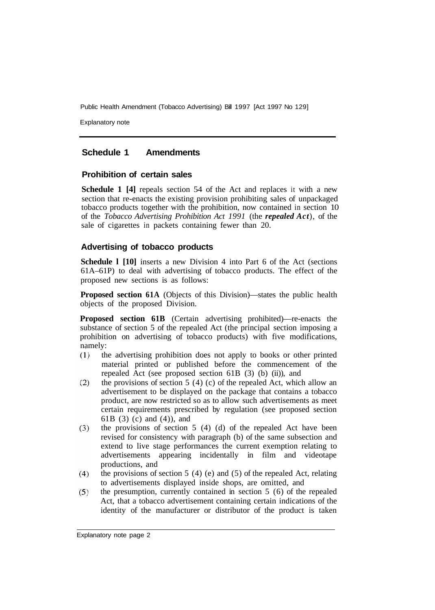Explanatory note

#### **Schedule 1 Amendments**

#### **Prohibition of certain sales**

**Schedule 1 [4]** repeals section 54 of the Act and replaces it with a new section that re-enacts the existing provision prohibiting sales of unpackaged tobacco products together with the prohibition, now contained in section 10 of the *Tobacco Advertising Prohibition Act 1991* (the *repealed Act*), of the sale of cigarettes in packets containing fewer than 20.

#### **Advertising of tobacco products**

**Schedule l [10]** inserts a new Division 4 into Part 6 of the Act (sections 61A–61P) to deal with advertising of tobacco products. The effect of the proposed new sections is as follows:

**Proposed section 61A** (Objects of this Division)—states the public health objects of the proposed Division.

**Proposed section 61B** (Certain advertising prohibited)—re-enacts the substance of section 5 of the repealed Act (the principal section imposing a prohibition on advertising of tobacco products) with five modifications, namely:

- $(1)$ the advertising prohibition does not apply to books or other printed material printed or published before the commencement of the repealed Act (see proposed section 61B (3) (b) (ii)), and
- $(2)$ the provisions of section  $5(4)(c)$  of the repealed Act, which allow an advertisement to be displayed on the package that contains a tobacco product, are now restricted so as to allow such advertisements as meet certain requirements prescribed by regulation (see proposed section 61B (3) (c) and (4)), and
- $(3)$ the provisions of section 5 (4) (d) of the repealed Act have been revised for consistency with paragraph (b) of the same subsection and extend to live stage performances the current exemption relating to advertisements appearing incidentally in film and videotape productions, and
- the provisions of section 5 (4) (e) and (5) of the repealed Act, relating  $(4)$ to advertisements displayed inside shops, are omitted, and
- the presumption, currently contained in section 5 (6) of the repealed  $(5)$ Act, that a tobacco advertisement containing certain indications of the identity of the manufacturer or distributor of the product is taken

Explanatory note page 2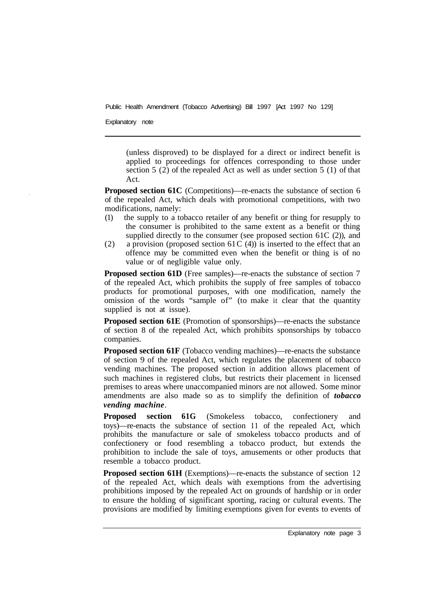Explanatory note

(unless disproved) to be displayed for a direct or indirect benefit is applied to proceedings for offences corresponding to those under section 5 (2) of the repealed Act as well as under section 5 (1) of that Act.

**Proposed section 61C** (Competitions)—re-enacts the substance of section 6 of the repealed Act, which deals with promotional competitions, with two modifications, namely:

- (1) the supply to a tobacco retailer of any benefit or thing for resupply to the consumer is prohibited to the same extent as a benefit or thing supplied directly to the consumer (see proposed section 61C  $(2)$ ), and
- (2) a provision (proposed section 61 C  $(4)$ ) is inserted to the effect that an offence may be committed even when the benefit or thing is of no value or of negligible value only.

**Proposed section 61D** (Free samples)—re-enacts the substance of section 7 of the repealed Act, which prohibits the supply of free samples of tobacco products for promotional purposes, with one modification, namely the omission of the words "sample of" (to make it clear that the quantity supplied is not at issue).

**Proposed section 61E** (Promotion of sponsorships)—re-enacts the substance of section 8 of the repealed Act, which prohibits sponsorships by tobacco companies.

**Proposed section 61F** (Tobacco vending machines)—re-enacts the substance of section 9 of the repealed Act, which regulates the placement of tobacco vending machines. The proposed section in addition allows placement of such machines in registered clubs, but restricts their placement in licensed premises to areas where unaccompanied minors are not allowed. Some minor amendments are also made so as to simplify the definition of *tobacco vending machine*.

**Proposed section 61G** (Smokeless tobacco, confectionery and toys)—re-enacts the substance of section **11** of the repealed Act, which prohibits the manufacture or sale of smokeless tobacco products and of confectionery or food resembling a tobacco product, but extends the prohibition to include the sale of toys, amusements or other products that resemble a tobacco product.

**Proposed section 61H** (Exemptions)—re-enacts the substance of section 12 of the repealed Act, which deals with exemptions from the advertising prohibitions imposed by the repealed Act on grounds of hardship or in order to ensure the holding of significant sporting, racing or cultural events. The provisions are modified by limiting exemptions given for events to events of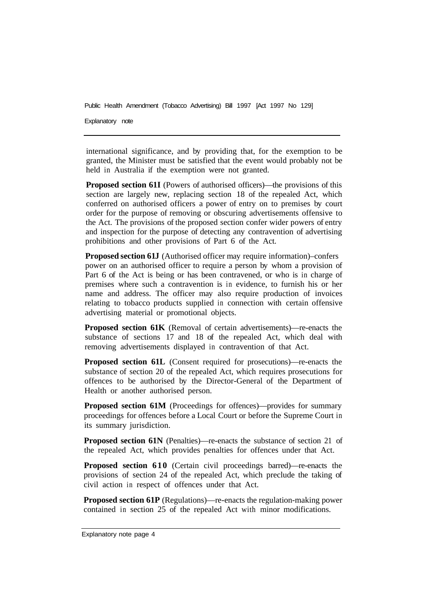Explanatory note

international significance, and by providing that, for the exemption to be granted, the Minister must be satisfied that the event would probably not be held in Australia if the exemption were not granted.

**Proposed section 61I** (Powers of authorised officers)—the provisions of this section are largely new, replacing section 18 of the repealed Act, which conferred on authorised officers a power of entry on to premises by court order for the purpose of removing or obscuring advertisements offensive to the Act. The provisions of the proposed section confer wider powers of entry and inspection for the purpose of detecting any contravention of advertising prohibitions and other provisions of Part 6 of the Act.

**Proposed section 61J** (Authorised officer may require information)–confers power on an authorised officer to require a person by whom a provision of Part 6 of the Act is being or has been contravened, or who is in charge of premises where such a contravention is in evidence, to furnish his or her name and address. The officer may also require production of invoices relating to tobacco products supplied in connection with certain offensive advertising material or promotional objects.

**Proposed section 61K** (Removal of certain advertisements)—re-enacts the substance of sections 17 and 18 of the repealed Act, which deal with removing advertisements displayed in contravention of that Act.

**Proposed section 61L** (Consent required for prosecutions)—re-enacts the substance of section 20 of the repealed Act, which requires prosecutions for offences to be authorised by the Director-General of the Department of Health or another authorised person.

**Proposed section 61M** (Proceedings for offences)—provides for summary proceedings for offences before a Local Court or before the Supreme Court in its summary jurisdiction.

**Proposed section 61N** (Penalties)—re-enacts the substance of section 21 of the repealed Act, which provides penalties for offences under that Act.

**Proposed section 610** (Certain civil proceedings barred)—re-enacts the provisions of section 24 of the repealed Act, which preclude the taking of civil action in respect of offences under that Act.

**Proposed section 61P** (Regulations)—re-enacts the regulation-making power contained in section 25 of the repealed Act with minor modifications.